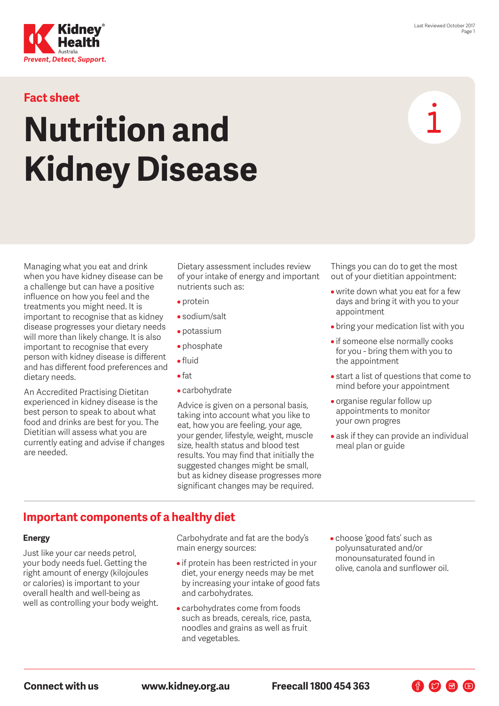

## **Fact sheet**

# **Nutrition and Kidney Disease**

Managing what you eat and drink when you have kidney disease can be a challenge but can have a positive influence on how you feel and the treatments you might need. It is important to recognise that as kidney disease progresses your dietary needs will more than likely change. It is also important to recognise that every person with kidney disease is different and has different food preferences and dietary needs.

An Accredited Practising Dietitan experienced in kidney disease is the best person to speak to about what food and drinks are best for you. The Dietitian will assess what you are currently eating and advise if changes are needed.

Dietary assessment includes review of your intake of energy and important nutrients such as:

- protein
- sodium/salt
- potassium
- phosphate
- fluid
- fat
- carbohydrate

Advice is given on a personal basis, taking into account what you like to eat, how you are feeling, your age, your gender, lifestyle, weight, muscle size, health status and blood test results. You may find that initially the suggested changes might be small, but as kidney disease progresses more significant changes may be required.

Things you can do to get the most out of your dietitian appointment:

- write down what you eat for a few days and bring it with you to your appointment
- bring your medication list with you
- if someone else normally cooks for you - bring them with you to the appointment
- start a list of questions that come to mind before your appointment
- organise regular follow up appointments to monitor your own progres
- ask if they can provide an individual meal plan or guide

# **Important components of a healthy diet**

#### **Energy**

Just like your car needs petrol, your body needs fuel. Getting the right amount of energy (kilojoules or calories) is important to your overall health and well-being as well as controlling your body weight.

Carbohydrate and fat are the body's main energy sources:

- if protein has been restricted in your diet, your energy needs may be met by increasing your intake of good fats and carbohydrates.
- carbohydrates come from foods such as breads, cereals, rice, pasta, noodles and grains as well as fruit and vegetables.
- choose 'good fats' such as polyunsaturated and/or monounsaturated found in olive, canola and sunflower oil.

**Connect with us www.kidney.org.au Freecall 1800 454 363**

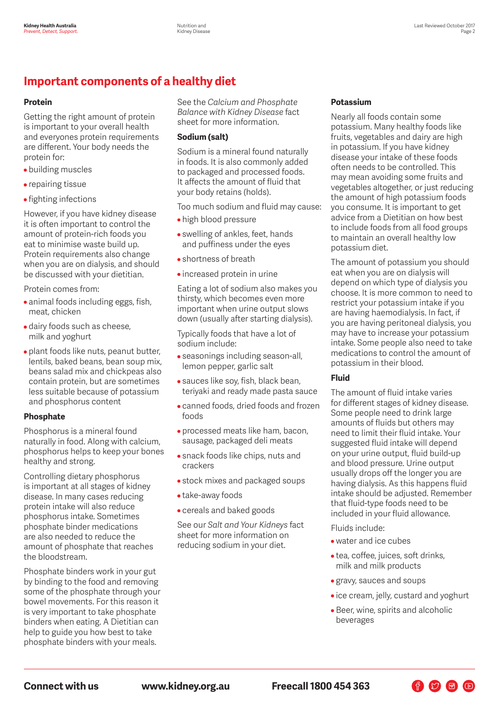# **Important components of a healthy diet**

#### **Protein**

Getting the right amount of protein is important to your overall health and everyones protein requirements are different. Your body needs the protein for:

- building muscles
- repairing tissue
- fighting infections

However, if you have kidney disease it is often important to control the amount of protein-rich foods you eat to minimise waste build up. Protein requirements also change when you are on dialysis, and should be discussed with your dietitian.

Protein comes from:

- animal foods including eggs, fish, meat, chicken
- dairy foods such as cheese, milk and yoghurt
- plant foods like nuts, peanut butter, lentils, baked beans, bean soup mix, beans salad mix and chickpeas also contain protein, but are sometimes less suitable because of potassium and phosphorus content

## **Phosphate**

Phosphorus is a mineral found naturally in food. Along with calcium, phosphorus helps to keep your bones healthy and strong.

Controlling dietary phosphorus is important at all stages of kidney disease. In many cases reducing protein intake will also reduce phosphorus intake. Sometimes phosphate binder medications are also needed to reduce the amount of phosphate that reaches the bloodstream.

Phosphate binders work in your gut by binding to the food and removing some of the phosphate through your bowel movements. For this reason it is very important to take phosphate binders when eating. A Dietitian can help to guide you how best to take phosphate binders with your meals.

See the *Calcium and Phosphate Balance with Kidney Disease* fact sheet for more information.

#### **Sodium (salt)**

Sodium is a mineral found naturally in foods. It is also commonly added to packaged and processed foods. It affects the amount of fluid that your body retains (holds).

Too much sodium and fluid may cause:

- high blood pressure
- swelling of ankles, feet, hands and puffiness under the eyes
- shortness of breath
- increased protein in urine

Eating a lot of sodium also makes you thirsty, which becomes even more important when urine output slows down (usually after starting dialysis).

Typically foods that have a lot of sodium include:

- seasonings including season-all, lemon pepper, garlic salt
- sauces like soy, fish, black bean, teriyaki and ready made pasta sauce
- canned foods, dried foods and frozen foods
- processed meats like ham, bacon, sausage, packaged deli meats
- snack foods like chips, nuts and crackers
- stock mixes and packaged soups
- take-away foods
- cereals and baked goods

See our *Salt and Your Kidneys* fact sheet for more information on reducing sodium in your diet.

## **Potassium**

Nearly all foods contain some potassium. Many healthy foods like fruits, vegetables and dairy are high in potassium. If you have kidney disease your intake of these foods often needs to be controlled. This may mean avoiding some fruits and vegetables altogether, or just reducing the amount of high potassium foods you consume. It is important to get advice from a Dietitian on how best to include foods from all food groups to maintain an overall healthy low potassium diet.

The amount of potassium you should eat when you are on dialysis will depend on which type of dialysis you choose. It is more common to need to restrict your potassium intake if you are having haemodialysis. In fact, if you are having peritoneal dialysis, you may have to increase your potassium intake. Some people also need to take medications to control the amount of potassium in their blood.

## **Fluid**

The amount of fluid intake varies for different stages of kidney disease. Some people need to drink large amounts of fluids but others may need to limit their fluid intake. Your suggested fluid intake will depend on your urine output, fluid build-up and blood pressure. Urine output usually drops off the longer you are having dialysis. As this happens fluid intake should be adjusted. Remember that fluid-type foods need to be included in your fluid allowance.

Fluids include:

- water and ice cubes
- tea, coffee, juices, soft drinks, milk and milk products
- gravy, sauces and soups
- ice cream, jelly, custard and yoghurt

 $\begin{picture}(150,10) \put(0,0){\line(1,0){10}} \put(15,0){\line(1,0){10}} \put(15,0){\line(1,0){10}} \put(15,0){\line(1,0){10}} \put(15,0){\line(1,0){10}} \put(15,0){\line(1,0){10}} \put(15,0){\line(1,0){10}} \put(15,0){\line(1,0){10}} \put(15,0){\line(1,0){10}} \put(15,0){\line(1,0){10}} \put(15,0){\line(1,0){10}} \put(15,0){\line($ 

• Beer, wine, spirits and alcoholic beverages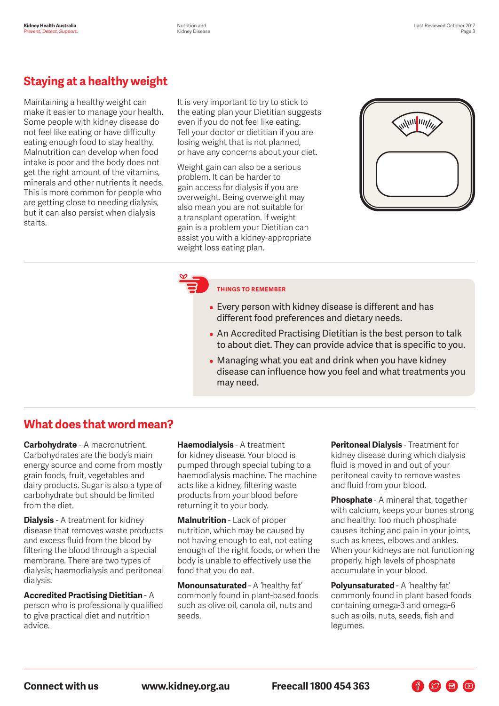# **Staying at a healthy weight**

Maintaining a healthy weight can make it easier to manage your health. Some people with kidney disease do not feel like eating or have difficulty eating enough food to stay healthy. Malnutrition can develop when food intake is poor and the body does not get the right amount of the vitamins, minerals and other nutrients it needs. This is more common for people who are getting close to needing dialysis, but it can also persist when dialysis starts.

It is very important to try to stick to the eating plan your Dietitian suggests even if you do not feel like eating. Tell your doctor or dietitian if you are losing weight that is not planned, or have any concerns about your diet.

Weight gain can also be a serious problem. It can be harder to gain access for dialysis if you are overweight. Being overweight may also mean you are not suitable for a transplant operation. If weight gain is a problem your Dietitian can assist you with a kidney-appropriate weight loss eating plan.



## **THINGS TO REMEMBER**

- Every person with kidney disease is different and has different food preferences and dietary needs.
- An Accredited Practising Dietitian is the best person to talk to about diet. They can provide advice that is specific to you.
- Managing what you eat and drink when you have kidney disease can influence how you feel and what treatments you may need.

## **What does that word mean?**

**Carbohydrate** - A macronutrient. Carbohydrates are the body's main energy source and come from mostly grain foods, fruit, vegetables and dairy products. Sugar is also a type of carbohydrate but should be limited from the diet.

**Dialysis** - A treatment for kidney disease that removes waste products and excess fluid from the blood by filtering the blood through a special membrane. There are two types of dialysis; haemodialysis and peritoneal dialysis.

**Accredited Practising Dietitian** - A person who is professionally qualified to give practical diet and nutrition advice.

**Haemodialysis** - A treatment for kidney disease. Your blood is pumped through special tubing to a haemodialysis machine. The machine acts like a kidney, filtering waste products from your blood before returning it to your body.

**Malnutrition** - Lack of proper nutrition, which may be caused by not having enough to eat, not eating enough of the right foods, or when the body is unable to effectively use the food that you do eat.

**Monounsaturated** - A 'healthy fat' commonly found in plant-based foods such as olive oil, canola oil, nuts and seeds.

**Peritoneal Dialysis** - Treatment for kidney disease during which dialysis fluid is moved in and out of your peritoneal cavity to remove wastes and fluid from your blood.

**Phosphate** - A mineral that, together with calcium, keeps your bones strong and healthy. Too much phosphate causes itching and pain in your joints, such as knees, elbows and ankles. When your kidneys are not functioning properly, high levels of phosphate accumulate in your blood.

**Polyunsaturated** - A 'healthy fat' commonly found in plant based foods containing omega-3 and omega-6 such as oils, nuts, seeds, fish and legumes.